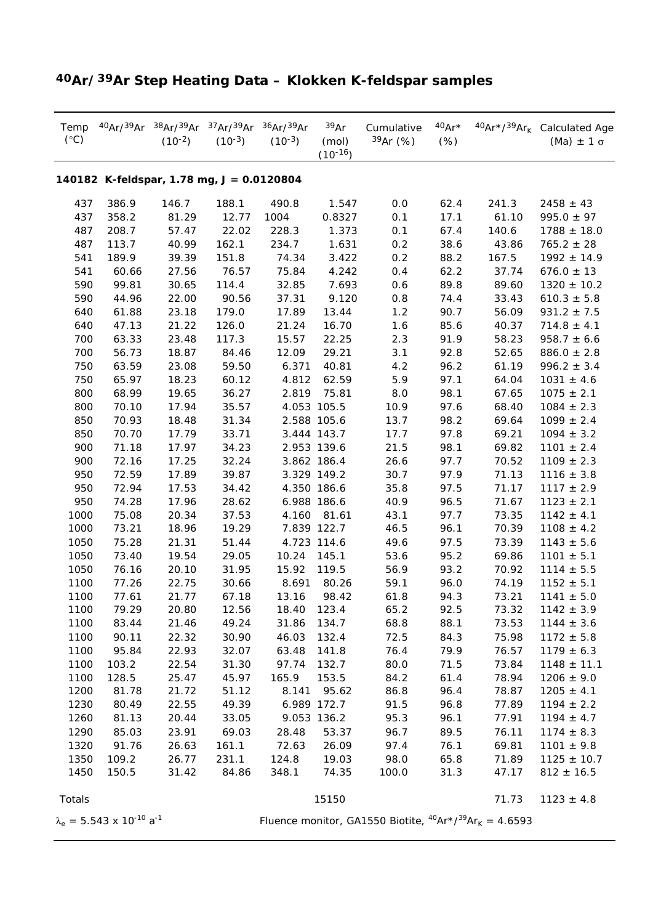| $(^{\circ}C)$                             |                                            | Temp 40Ar/39Ar 38Ar/39Ar 37Ar/39Ar 36Ar/39Ar<br>$(10^{-2})$ | $(10^{-3})$ | $(10^{-3})$ | 39Ar<br>(mol)<br>$(10^{-16})$ | Cumulative<br>$39Ar$ (%)                                                                                        | $40Ar*$<br>(%) |       | 40Ar*/39Ar <sub>k</sub> Calculated Age<br>(Ma) $\pm$ 1 $\sigma$ |  |
|-------------------------------------------|--------------------------------------------|-------------------------------------------------------------|-------------|-------------|-------------------------------|-----------------------------------------------------------------------------------------------------------------|----------------|-------|-----------------------------------------------------------------|--|
| 140182 K-feldspar, 1.78 mg, J = 0.0120804 |                                            |                                                             |             |             |                               |                                                                                                                 |                |       |                                                                 |  |
| 437                                       | 386.9                                      | 146.7                                                       | 188.1       | 490.8       | 1.547                         | 0.0                                                                                                             | 62.4           | 241.3 | $2458 \pm 43$                                                   |  |
| 437                                       | 358.2                                      | 81.29                                                       | 12.77       | 1004        | 0.8327                        | 0.1                                                                                                             | 17.1           | 61.10 | $995.0 \pm 97$                                                  |  |
| 487                                       | 208.7                                      | 57.47                                                       | 22.02       | 228.3       | 1.373                         | 0.1                                                                                                             | 67.4           | 140.6 | $1788 \pm 18.0$                                                 |  |
| 487                                       | 113.7                                      | 40.99                                                       | 162.1       | 234.7       | 1.631                         | 0.2                                                                                                             | 38.6           | 43.86 | $765.2 \pm 28$                                                  |  |
| 541                                       | 189.9                                      | 39.39                                                       | 151.8       | 74.34       | 3.422                         | 0.2                                                                                                             | 88.2           | 167.5 | $1992 \pm 14.9$                                                 |  |
| 541                                       | 60.66                                      | 27.56                                                       | 76.57       | 75.84       | 4.242                         | 0.4                                                                                                             | 62.2           | 37.74 | $676.0 \pm 13$                                                  |  |
| 590                                       | 99.81                                      | 30.65                                                       | 114.4       | 32.85       | 7.693                         | 0.6                                                                                                             | 89.8           | 89.60 | $1320 \pm 10.2$                                                 |  |
| 590                                       | 44.96                                      | 22.00                                                       | 90.56       | 37.31       | 9.120                         | 0.8                                                                                                             | 74.4           | 33.43 | $610.3 \pm 5.8$                                                 |  |
| 640                                       | 61.88                                      | 23.18                                                       | 179.0       | 17.89       | 13.44                         | 1.2                                                                                                             | 90.7           | 56.09 | $931.2 \pm 7.5$                                                 |  |
| 640                                       | 47.13                                      | 21.22                                                       | 126.0       | 21.24       | 16.70                         | 1.6                                                                                                             | 85.6           | 40.37 | $714.8 \pm 4.1$                                                 |  |
| 700                                       | 63.33                                      | 23.48                                                       | 117.3       | 15.57       | 22.25                         | 2.3                                                                                                             | 91.9           | 58.23 | $958.7 \pm 6.6$                                                 |  |
| 700                                       | 56.73                                      | 18.87                                                       | 84.46       | 12.09       | 29.21                         | 3.1                                                                                                             | 92.8           | 52.65 | $886.0 \pm 2.8$                                                 |  |
| 750                                       | 63.59                                      | 23.08                                                       | 59.50       | 6.371       | 40.81                         | 4.2                                                                                                             | 96.2           | 61.19 | $996.2 \pm 3.4$                                                 |  |
| 750                                       | 65.97                                      | 18.23                                                       | 60.12       | 4.812       | 62.59                         | 5.9                                                                                                             | 97.1           | 64.04 | $1031 \pm 4.6$                                                  |  |
| 800                                       | 68.99                                      | 19.65                                                       | 36.27       | 2.819       | 75.81                         | 8.0                                                                                                             | 98.1           | 67.65 | $1075 \pm 2.1$                                                  |  |
| 800                                       | 70.10                                      | 17.94                                                       | 35.57       |             | 4.053 105.5                   | 10.9                                                                                                            | 97.6           | 68.40 | $1084 \pm 2.3$                                                  |  |
| 850                                       | 70.93                                      | 18.48                                                       | 31.34       |             | 2.588 105.6                   | 13.7                                                                                                            | 98.2           | 69.64 | $1099 \pm 2.4$                                                  |  |
| 850                                       | 70.70                                      | 17.79                                                       | 33.71       |             | 3.444 143.7                   | 17.7                                                                                                            | 97.8           | 69.21 | $1094 \pm 3.2$                                                  |  |
| 900                                       | 71.18                                      | 17.97                                                       | 34.23       |             | 2.953 139.6                   | 21.5                                                                                                            | 98.1           | 69.82 | $1101 \pm 2.4$                                                  |  |
| 900                                       | 72.16                                      | 17.25                                                       | 32.24       |             | 3.862 186.4                   | 26.6                                                                                                            | 97.7           | 70.52 | $1109 \pm 2.3$                                                  |  |
| 950                                       | 72.59                                      | 17.89                                                       | 39.87       |             | 3.329 149.2                   | 30.7                                                                                                            | 97.9           | 71.13 | $1116 \pm 3.8$                                                  |  |
| 950                                       | 72.94                                      | 17.53                                                       | 34.42       |             | 4.350 186.6                   | 35.8                                                                                                            | 97.5           | 71.17 | $1117 \pm 2.9$                                                  |  |
| 950                                       | 74.28                                      | 17.96                                                       | 28.62       |             | 6.988 186.6                   | 40.9                                                                                                            | 96.5           | 71.67 | $1123 \pm 2.1$                                                  |  |
| 1000                                      | 75.08                                      | 20.34                                                       | 37.53       | 4.160       | 81.61                         | 43.1                                                                                                            | 97.7           | 73.35 | $1142 \pm 4.1$                                                  |  |
| 1000                                      | 73.21                                      | 18.96                                                       | 19.29       |             | 7.839 122.7                   | 46.5                                                                                                            | 96.1           | 70.39 | $1108 \pm 4.2$                                                  |  |
| 1050                                      | 75.28                                      | 21.31                                                       | 51.44       |             | 4.723 114.6                   | 49.6                                                                                                            | 97.5           | 73.39 | $1143 \pm 5.6$                                                  |  |
| 1050                                      | 73.40                                      | 19.54                                                       | 29.05       | 10.24       | 145.1                         | 53.6                                                                                                            | 95.2           | 69.86 | $1101 \pm 5.1$                                                  |  |
| 1050                                      | 76.16                                      | 20.10                                                       | 31.95       | 15.92       | 119.5                         | 56.9                                                                                                            | 93.2           | 70.92 | $1114 \pm 5.5$                                                  |  |
| 1100                                      | 77.26                                      | 22.75                                                       | 30.66       | 8.691       | 80.26                         | 59.1                                                                                                            | 96.0           | 74.19 | $1152 \pm 5.1$                                                  |  |
| 1100                                      | 77.61                                      | 21.77                                                       | 67.18       | 13.16       | 98.42                         | 61.8                                                                                                            | 94.3           | 73.21 | $1141 \pm 5.0$                                                  |  |
| 1100                                      | 79.29                                      | 20.80                                                       | 12.56       | 18.40 123.4 |                               | 65.2                                                                                                            | 92.5           | 73.32 | $1142 \pm 3.9$                                                  |  |
| 1100                                      | 83.44                                      | 21.46                                                       | 49.24       | 31.86       | 134.7                         | 68.8                                                                                                            | 88.1           | 73.53 | $1144 \pm 3.6$                                                  |  |
| 1100                                      | 90.11                                      | 22.32                                                       | 30.90       | 46.03       | 132.4                         | 72.5                                                                                                            | 84.3           | 75.98 | $1172 \pm 5.8$                                                  |  |
| 1100                                      | 95.84                                      | 22.93                                                       | 32.07       | 63.48       | 141.8                         | 76.4                                                                                                            | 79.9           | 76.57 | $1179 \pm 6.3$                                                  |  |
| 1100                                      | 103.2                                      | 22.54                                                       | 31.30       | 97.74       | 132.7                         | 80.0                                                                                                            | 71.5           | 73.84 | $1148 \pm 11.1$                                                 |  |
| 1100                                      | 128.5                                      | 25.47                                                       | 45.97       | 165.9       | 153.5                         | 84.2                                                                                                            | 61.4           | 78.94 | $1206 \pm 9.0$                                                  |  |
| 1200                                      | 81.78                                      | 21.72                                                       | 51.12       | 8.141       | 95.62                         | 86.8                                                                                                            | 96.4           | 78.87 | $1205 \pm 4.1$                                                  |  |
| 1230                                      | 80.49                                      | 22.55                                                       | 49.39       |             | 6.989 172.7                   | 91.5                                                                                                            | 96.8           | 77.89 | $1194 \pm 2.2$                                                  |  |
| 1260                                      | 81.13                                      | 20.44                                                       | 33.05       |             | 9.053 136.2                   | 95.3                                                                                                            | 96.1           | 77.91 | $1194 \pm 4.7$                                                  |  |
| 1290                                      | 85.03                                      | 23.91                                                       | 69.03       | 28.48       | 53.37                         | 96.7                                                                                                            | 89.5           | 76.11 | $1174 \pm 8.3$                                                  |  |
| 1320                                      | 91.76                                      | 26.63                                                       | 161.1       | 72.63       | 26.09                         | 97.4                                                                                                            | 76.1           | 69.81 | $1101 \pm 9.8$                                                  |  |
| 1350                                      | 109.2                                      | 26.77                                                       | 231.1       | 124.8       | 19.03                         | 98.0                                                                                                            | 65.8           | 71.89 | $1125 \pm 10.7$                                                 |  |
| 1450                                      | 150.5                                      | 31.42                                                       | 84.86       | 348.1       | 74.35                         | 100.0                                                                                                           | 31.3           | 47.17 | $812 \pm 16.5$                                                  |  |
| Totals                                    |                                            |                                                             |             |             | 15150                         |                                                                                                                 |                | 71.73 | $1123 \pm 4.8$                                                  |  |
|                                           | $\lambda_e = 5.543 \times 10^{-10} a^{-1}$ |                                                             |             |             |                               | Fluence monitor, <i>GA1550 Biotite</i> , <sup>40</sup> Ar <sup>*</sup> / <sup>39</sup> Ar <sub>K</sub> = 4.6593 |                |       |                                                                 |  |

## **40Ar/39Ar Step Heating Data – Klokken K-feldspar samples**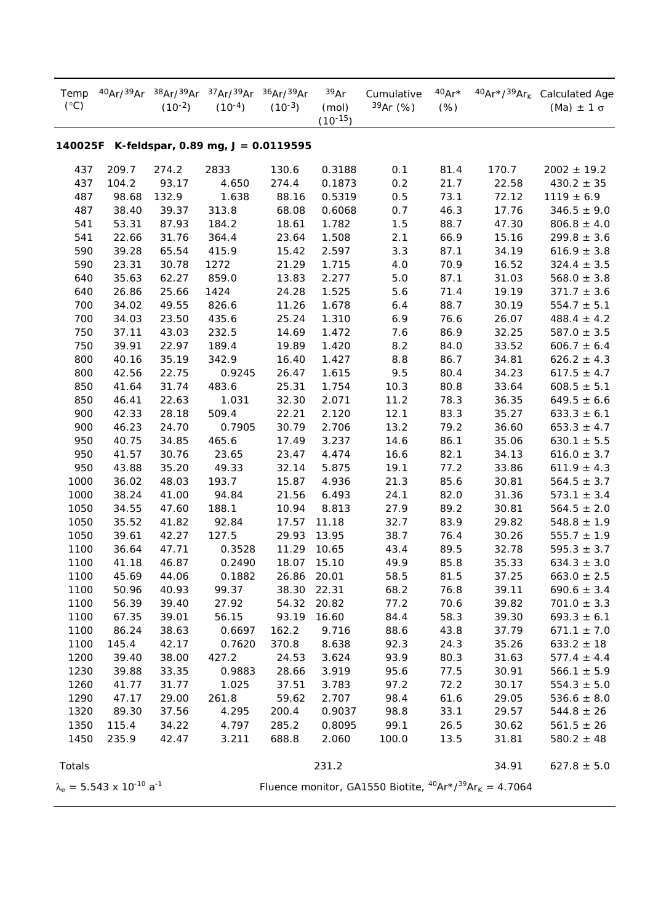| Temp<br>$(^{\circ}C)$                           | 40Ar/39Ar                                  | 38Ar/39Ar<br>$(10^{-2})$ | 37Ar/39Ar<br>$(10^{-4})$ | 36Ar/39Ar<br>$(10^{-3})$ | 39Ar<br>(mol)<br>$(10^{-15})$ | Cumulative<br>39Ar (%)                                                                                          | $40Ar*$<br>$(\%)$ |       | 40Ar*/39Ar <sub>k</sub> Calculated Age<br>(Ma) $\pm$ 1 $\sigma$ |  |
|-------------------------------------------------|--------------------------------------------|--------------------------|--------------------------|--------------------------|-------------------------------|-----------------------------------------------------------------------------------------------------------------|-------------------|-------|-----------------------------------------------------------------|--|
| 140025F<br>K-feldspar, 0.89 mg, $J = 0.0119595$ |                                            |                          |                          |                          |                               |                                                                                                                 |                   |       |                                                                 |  |
| 437                                             | 209.7                                      | 274.2                    | 2833                     | 130.6                    | 0.3188                        | 0.1                                                                                                             | 81.4              | 170.7 | $2002 \pm 19.2$                                                 |  |
| 437                                             | 104.2                                      | 93.17                    | 4.650                    | 274.4                    | 0.1873                        | 0.2                                                                                                             | 21.7              | 22.58 | $430.2 \pm 35$                                                  |  |
| 487                                             | 98.68                                      | 132.9                    | 1.638                    | 88.16                    | 0.5319                        | 0.5                                                                                                             | 73.1              | 72.12 | $1119 \pm 6.9$                                                  |  |
| 487                                             | 38.40                                      | 39.37                    | 313.8                    | 68.08                    | 0.6068                        | 0.7                                                                                                             | 46.3              | 17.76 | $346.5 \pm 9.0$                                                 |  |
| 541                                             | 53.31                                      | 87.93                    | 184.2                    | 18.61                    | 1.782                         | 1.5                                                                                                             | 88.7              | 47.30 | $806.8 \pm 4.0$                                                 |  |
| 541                                             | 22.66                                      | 31.76                    | 364.4                    | 23.64                    | 1.508                         | 2.1                                                                                                             | 66.9              | 15.16 | $299.8 \pm 3.6$                                                 |  |
| 590                                             | 39.28                                      | 65.54                    | 415.9                    | 15.42                    | 2.597                         | 3.3                                                                                                             | 87.1              | 34.19 | $616.9 \pm 3.8$                                                 |  |
| 590                                             | 23.31                                      | 30.78                    | 1272                     | 21.29                    | 1.715                         | 4.0                                                                                                             | 70.9              | 16.52 | $324.4 \pm 3.5$                                                 |  |
| 640                                             | 35.63                                      | 62.27                    | 859.0                    | 13.83                    | 2.277                         | 5.0                                                                                                             | 87.1              | 31.03 | $568.0 \pm 3.8$                                                 |  |
| 640                                             | 26.86                                      | 25.66                    | 1424                     | 24.28                    | 1.525                         | 5.6                                                                                                             | 71.4              | 19.19 | $371.7 \pm 3.6$                                                 |  |
| 700                                             | 34.02                                      | 49.55                    | 826.6                    | 11.26                    | 1.678                         | 6.4                                                                                                             | 88.7              | 30.19 | $554.7 \pm 5.1$                                                 |  |
| 700                                             | 34.03                                      | 23.50                    | 435.6                    | 25.24                    | 1.310                         | 6.9                                                                                                             | 76.6              | 26.07 | $488.4 \pm 4.2$                                                 |  |
| 750                                             | 37.11                                      | 43.03                    | 232.5                    | 14.69                    | 1.472                         | 7.6                                                                                                             | 86.9              | 32.25 | $587.0 \pm 3.5$                                                 |  |
| 750                                             | 39.91                                      | 22.97                    | 189.4                    | 19.89                    | 1.420                         | 8.2                                                                                                             | 84.0              | 33.52 | $606.7 \pm 6.4$                                                 |  |
| 800                                             | 40.16                                      | 35.19                    | 342.9                    | 16.40                    | 1.427                         | 8.8                                                                                                             | 86.7              | 34.81 | $626.2 \pm 4.3$                                                 |  |
| 800                                             | 42.56                                      | 22.75                    | 0.9245                   | 26.47                    | 1.615                         | 9.5                                                                                                             | 80.4              | 34.23 | $617.5 \pm 4.7$                                                 |  |
| 850                                             | 41.64                                      | 31.74                    | 483.6                    | 25.31                    | 1.754                         | 10.3                                                                                                            | 80.8              | 33.64 | $608.5 \pm 5.1$                                                 |  |
| 850                                             | 46.41                                      | 22.63                    | 1.031                    | 32.30                    | 2.071                         | 11.2                                                                                                            | 78.3              | 36.35 | $649.5 \pm 6.6$                                                 |  |
| 900                                             | 42.33                                      | 28.18                    | 509.4                    | 22.21                    | 2.120                         | 12.1                                                                                                            | 83.3              | 35.27 | $633.3 \pm 6.1$                                                 |  |
| 900                                             | 46.23                                      | 24.70                    | 0.7905                   | 30.79                    | 2.706                         | 13.2                                                                                                            | 79.2              | 36.60 | $653.3 \pm 4.7$                                                 |  |
| 950                                             | 40.75                                      | 34.85                    | 465.6                    | 17.49                    | 3.237                         | 14.6                                                                                                            | 86.1              | 35.06 | $630.1 \pm 5.5$                                                 |  |
| 950                                             | 41.57                                      | 30.76                    | 23.65                    | 23.47                    | 4.474                         | 16.6                                                                                                            | 82.1              | 34.13 | $616.0 \pm 3.7$                                                 |  |
| 950                                             | 43.88                                      | 35.20                    | 49.33                    | 32.14                    | 5.875                         | 19.1                                                                                                            | 77.2              | 33.86 | $611.9 \pm 4.3$                                                 |  |
| 1000                                            | 36.02                                      | 48.03                    | 193.7                    | 15.87                    | 4.936                         | 21.3                                                                                                            | 85.6              | 30.81 | $564.5 \pm 3.7$                                                 |  |
| 1000                                            | 38.24                                      | 41.00                    | 94.84                    | 21.56                    | 6.493                         | 24.1                                                                                                            | 82.0              | 31.36 | $573.1 \pm 3.4$                                                 |  |
| 1050                                            | 34.55                                      | 47.60                    | 188.1                    | 10.94                    | 8.813                         | 27.9                                                                                                            | 89.2              | 30.81 | $564.5 \pm 2.0$                                                 |  |
| 1050                                            | 35.52                                      | 41.82                    | 92.84                    | 17.57                    | 11.18                         | 32.7                                                                                                            | 83.9              | 29.82 | $548.8 \pm 1.9$                                                 |  |
| 1050                                            | 39.61                                      | 42.27                    | 127.5                    | 29.93                    | 13.95                         | 38.7                                                                                                            | 76.4              | 30.26 | $555.7 \pm 1.9$                                                 |  |
| 1100                                            | 36.64                                      | 47.71                    | 0.3528                   | 11.29                    | 10.65                         | 43.4                                                                                                            | 89.5              | 32.78 | $595.3 \pm 3.7$                                                 |  |
| 1100                                            | 41.18                                      | 46.87                    | 0.2490                   | 18.07                    | 15.10                         | 49.9                                                                                                            | 85.8              | 35.33 | $634.3 \pm 3.0$                                                 |  |
| 1100                                            | 45.69                                      | 44.06                    | 0.1882                   | 26.86                    | 20.01                         | 58.5                                                                                                            | 81.5              | 37.25 | $663.0 \pm 2.5$                                                 |  |
| 1100                                            | 50.96                                      | 40.93                    | 99.37                    | 38.30                    | 22.31                         | 68.2                                                                                                            | 76.8              | 39.11 | $690.6 \pm 3.4$                                                 |  |
| 1100                                            | 56.39                                      | 39.40                    | 27.92                    | 54.32                    | 20.82                         | 77.2                                                                                                            | 70.6              | 39.82 | $701.0 \pm 3.3$                                                 |  |
| 1100                                            | 67.35                                      | 39.01                    | 56.15                    | 93.19                    | 16.60                         | 84.4                                                                                                            | 58.3              | 39.30 | $693.3 \pm 6.1$                                                 |  |
| 1100                                            | 86.24                                      | 38.63                    | 0.6697                   | 162.2                    | 9.716                         | 88.6                                                                                                            | 43.8              | 37.79 | $671.1 \pm 7.0$                                                 |  |
| 1100                                            | 145.4                                      | 42.17                    | 0.7620                   | 370.8                    | 8.638                         | 92.3                                                                                                            | 24.3              | 35.26 | $633.2 \pm 18$                                                  |  |
| 1200                                            | 39.40                                      | 38.00                    | 427.2                    | 24.53                    | 3.624                         | 93.9                                                                                                            | 80.3              | 31.63 | $577.4 \pm 4.4$                                                 |  |
| 1230                                            | 39.88                                      | 33.35                    | 0.9883                   | 28.66                    | 3.919                         | 95.6                                                                                                            | 77.5              | 30.91 | $566.1 \pm 5.9$                                                 |  |
| 1260                                            | 41.77                                      | 31.77                    | 1.025                    | 37.51                    | 3.783                         | 97.2                                                                                                            | 72.2              | 30.17 | $554.3 \pm 5.0$                                                 |  |
| 1290                                            | 47.17                                      | 29.00                    | 261.8                    | 59.62                    | 2.707                         | 98.4                                                                                                            | 61.6              | 29.05 | $536.6 \pm 8.0$                                                 |  |
| 1320                                            | 89.30                                      | 37.56                    | 4.295                    | 200.4                    | 0.9037                        | 98.8                                                                                                            | 33.1              | 29.57 | $544.8 \pm 26$                                                  |  |
| 1350                                            | 115.4                                      | 34.22                    | 4.797                    | 285.2                    | 0.8095                        | 99.1                                                                                                            | 26.5              | 30.62 | $561.5 \pm 26$                                                  |  |
| 1450                                            | 235.9                                      | 42.47                    | 3.211                    | 688.8                    | 2.060                         | 100.0                                                                                                           | 13.5              | 31.81 | $580.2 \pm 48$                                                  |  |
| Totals                                          |                                            |                          |                          |                          | 231.2                         |                                                                                                                 |                   | 34.91 | $627.8 \pm 5.0$                                                 |  |
|                                                 | $\lambda_e = 5.543 \times 10^{-10} a^{-1}$ |                          |                          |                          |                               | Fluence monitor, <i>GA1550 Biotite</i> , <sup>40</sup> Ar <sup>*</sup> / <sup>39</sup> Ar <sub>K</sub> = 4.7064 |                   |       |                                                                 |  |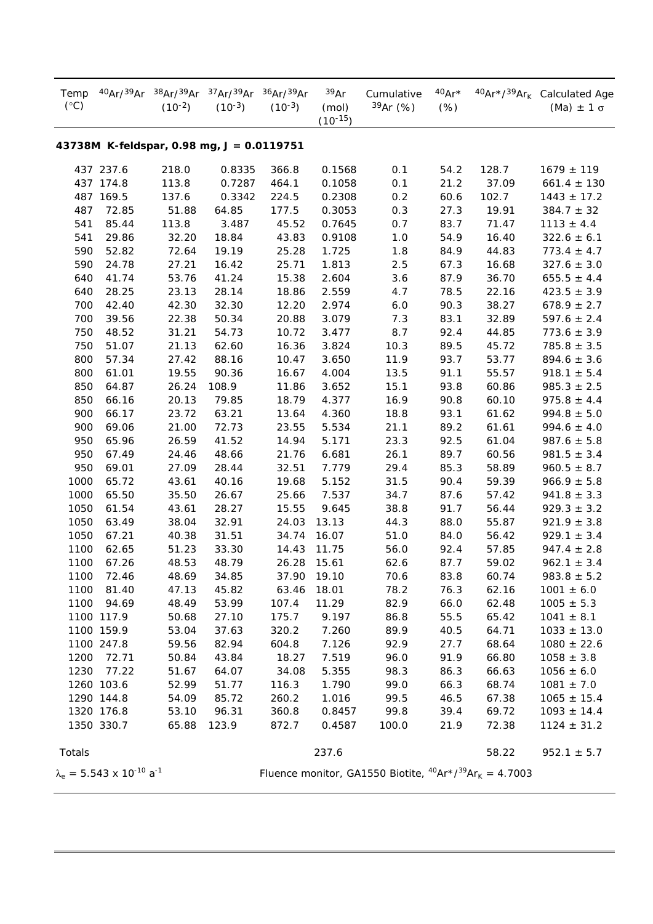| Temp<br>$(^{\circ}C)$                     | 40Ar/39Ar                                  | 38Ar/39Ar<br>$(10^{-2})$ | $37Ar^{39}Ar$<br>$(10^{-3})$ | 36Ar/39Ar<br>$(10^{-3})$ | 39Ar<br>(mol)<br>$(10^{-15})$ | Cumulative<br>$39Ar$ (%)                                                  | $40Ar*$<br>$(\%)$ |       | 40Ar*/39Ar <sub>k</sub> Calculated Age<br>(Ma) $\pm$ 1 $\sigma$ |  |
|-------------------------------------------|--------------------------------------------|--------------------------|------------------------------|--------------------------|-------------------------------|---------------------------------------------------------------------------|-------------------|-------|-----------------------------------------------------------------|--|
| 43738M K-feldspar, 0.98 mg, J = 0.0119751 |                                            |                          |                              |                          |                               |                                                                           |                   |       |                                                                 |  |
|                                           | 437 237.6                                  | 218.0                    | 0.8335                       | 366.8                    | 0.1568                        | 0.1                                                                       | 54.2              | 128.7 | $1679 \pm 119$                                                  |  |
|                                           | 437 174.8                                  | 113.8                    | 0.7287                       | 464.1                    | 0.1058                        | 0.1                                                                       | 21.2              | 37.09 | $661.4 \pm 130$                                                 |  |
|                                           | 487 169.5                                  | 137.6                    | 0.3342                       | 224.5                    | 0.2308                        | 0.2                                                                       | 60.6              | 102.7 | $1443 \pm 17.2$                                                 |  |
| 487                                       | 72.85                                      | 51.88                    | 64.85                        | 177.5                    | 0.3053                        | 0.3                                                                       | 27.3              | 19.91 | $384.7 \pm 32$                                                  |  |
| 541                                       | 85.44                                      | 113.8                    | 3.487                        | 45.52                    | 0.7645                        | 0.7                                                                       | 83.7              | 71.47 | $1113 \pm 4.4$                                                  |  |
| 541                                       | 29.86                                      | 32.20                    | 18.84                        | 43.83                    | 0.9108                        | 1.0                                                                       | 54.9              | 16.40 | $322.6 \pm 6.1$                                                 |  |
| 590                                       | 52.82                                      | 72.64                    | 19.19                        | 25.28                    | 1.725                         | 1.8                                                                       | 84.9              | 44.83 | $773.4 \pm 4.7$                                                 |  |
| 590                                       | 24.78                                      | 27.21                    | 16.42                        | 25.71                    | 1.813                         | 2.5                                                                       | 67.3              | 16.68 | $327.6 \pm 3.0$                                                 |  |
| 640                                       | 41.74                                      | 53.76                    | 41.24                        | 15.38                    | 2.604                         | 3.6                                                                       | 87.9              | 36.70 | $655.5 \pm 4.4$                                                 |  |
| 640                                       | 28.25                                      | 23.13                    | 28.14                        | 18.86                    | 2.559                         | 4.7                                                                       | 78.5              | 22.16 | $423.5 \pm 3.9$                                                 |  |
| 700                                       | 42.40                                      | 42.30                    | 32.30                        | 12.20                    | 2.974                         | 6.0                                                                       | 90.3              | 38.27 | $678.9 \pm 2.7$                                                 |  |
| 700                                       | 39.56                                      | 22.38                    | 50.34                        | 20.88                    | 3.079                         | 7.3                                                                       | 83.1              | 32.89 | $597.6 \pm 2.4$                                                 |  |
| 750                                       | 48.52                                      | 31.21                    | 54.73                        | 10.72                    | 3.477                         | 8.7                                                                       | 92.4              | 44.85 | $773.6 \pm 3.9$                                                 |  |
| 750                                       | 51.07                                      | 21.13                    | 62.60                        | 16.36                    | 3.824                         | 10.3                                                                      | 89.5              | 45.72 | $785.8 \pm 3.5$                                                 |  |
| 800                                       | 57.34                                      | 27.42                    | 88.16                        | 10.47                    | 3.650                         | 11.9                                                                      | 93.7              | 53.77 | $894.6 \pm 3.6$                                                 |  |
| 800                                       | 61.01                                      | 19.55                    | 90.36                        | 16.67                    | 4.004                         | 13.5                                                                      | 91.1              | 55.57 | $918.1 \pm 5.4$                                                 |  |
| 850                                       | 64.87                                      | 26.24                    | 108.9                        | 11.86                    | 3.652                         | 15.1                                                                      | 93.8              | 60.86 | $985.3 \pm 2.5$                                                 |  |
| 850                                       | 66.16                                      | 20.13                    | 79.85                        | 18.79                    | 4.377                         | 16.9                                                                      | 90.8              | 60.10 | $975.8 \pm 4.4$                                                 |  |
| 900                                       | 66.17                                      | 23.72                    | 63.21                        | 13.64                    | 4.360                         | 18.8                                                                      | 93.1              | 61.62 | $994.8 \pm 5.0$                                                 |  |
| 900                                       | 69.06                                      | 21.00                    | 72.73                        | 23.55                    | 5.534                         | 21.1                                                                      | 89.2              | 61.61 | $994.6 \pm 4.0$                                                 |  |
| 950                                       | 65.96                                      | 26.59                    | 41.52                        | 14.94                    | 5.171                         | 23.3                                                                      | 92.5              | 61.04 | $987.6 \pm 5.8$                                                 |  |
| 950                                       | 67.49                                      | 24.46                    | 48.66                        | 21.76                    | 6.681                         | 26.1                                                                      | 89.7              | 60.56 | $981.5 \pm 3.4$                                                 |  |
| 950                                       | 69.01                                      | 27.09                    | 28.44                        | 32.51                    | 7.779                         | 29.4                                                                      | 85.3              | 58.89 | $960.5 \pm 8.7$                                                 |  |
| 1000                                      | 65.72                                      | 43.61                    | 40.16                        | 19.68                    | 5.152                         | 31.5                                                                      | 90.4              | 59.39 | $966.9 \pm 5.8$                                                 |  |
| 1000                                      | 65.50                                      | 35.50                    | 26.67                        | 25.66                    | 7.537                         | 34.7                                                                      | 87.6              | 57.42 | $941.8 \pm 3.3$                                                 |  |
| 1050                                      | 61.54                                      | 43.61                    | 28.27                        | 15.55                    | 9.645                         | 38.8                                                                      | 91.7              | 56.44 | $929.3 \pm 3.2$                                                 |  |
| 1050                                      | 63.49                                      | 38.04                    | 32.91                        | 24.03                    | 13.13                         | 44.3                                                                      | 88.0              | 55.87 | $921.9 \pm 3.8$                                                 |  |
| 1050                                      | 67.21                                      | 40.38                    | 31.51                        | 34.74                    | 16.07                         | 51.0                                                                      | 84.0              | 56.42 | $929.1 \pm 3.4$                                                 |  |
| 1100                                      | 62.65                                      | 51.23                    | 33.30                        | 14.43                    | 11.75                         | 56.0                                                                      | 92.4              | 57.85 | $947.4 \pm 2.8$                                                 |  |
| 1100                                      | 67.26                                      | 48.53                    | 48.79                        | 26.28                    | 15.61                         | 62.6                                                                      | 87.7              | 59.02 | $962.1 \pm 3.4$                                                 |  |
| 1100                                      | 72.46                                      | 48.69                    | 34.85                        | 37.90                    | 19.10                         | 70.6                                                                      | 83.8              | 60.74 | $983.8 \pm 5.2$                                                 |  |
| 1100                                      | 81.40                                      | 47.13                    | 45.82                        | 63.46                    | 18.01                         | 78.2                                                                      | 76.3              | 62.16 | $1001 \pm 6.0$                                                  |  |
| 1100                                      | 94.69                                      | 48.49                    | 53.99                        | 107.4                    | 11.29                         | 82.9                                                                      | 66.0              | 62.48 | $1005 \pm 5.3$                                                  |  |
|                                           | 1100 117.9                                 | 50.68                    | 27.10                        | 175.7                    | 9.197                         | 86.8                                                                      | 55.5              | 65.42 | $1041 \pm 8.1$                                                  |  |
|                                           | 1100 159.9                                 | 53.04                    | 37.63                        | 320.2                    | 7.260                         | 89.9                                                                      | 40.5              | 64.71 | $1033 \pm 13.0$                                                 |  |
|                                           | 1100 247.8                                 | 59.56                    | 82.94                        | 604.8                    | 7.126                         | 92.9                                                                      | 27.7              | 68.64 | $1080 \pm 22.6$                                                 |  |
| 1200                                      | 72.71                                      | 50.84                    | 43.84                        | 18.27                    | 7.519                         | 96.0                                                                      | 91.9              | 66.80 | $1058 \pm 3.8$                                                  |  |
| 1230                                      | 77.22                                      | 51.67                    | 64.07                        | 34.08                    | 5.355                         | 98.3                                                                      | 86.3              | 66.63 | $1056 \pm 6.0$                                                  |  |
|                                           | 1260 103.6                                 | 52.99                    | 51.77                        | 116.3                    | 1.790                         | 99.0                                                                      | 66.3              | 68.74 | $1081 \pm 7.0$                                                  |  |
|                                           | 1290 144.8                                 | 54.09                    | 85.72                        | 260.2                    | 1.016                         | 99.5                                                                      | 46.5              | 67.38 | $1065 \pm 15.4$                                                 |  |
|                                           | 1320 176.8                                 | 53.10                    | 96.31                        | 360.8                    | 0.8457                        | 99.8                                                                      | 39.4              | 69.72 | $1093 \pm 14.4$                                                 |  |
|                                           | 1350 330.7                                 | 65.88                    | 123.9                        | 872.7                    | 0.4587                        | 100.0                                                                     | 21.9              | 72.38 | $1124 \pm 31.2$                                                 |  |
| Totals                                    |                                            |                          |                              |                          | 237.6                         |                                                                           |                   | 58.22 | $952.1 \pm 5.7$                                                 |  |
|                                           | $\lambda_e = 5.543 \times 10^{-10} a^{-1}$ |                          |                              |                          |                               | Fluence monitor, GA1550 Biotite, ${}^{40}Ar \times /{}^{39}Ar_K = 4.7003$ |                   |       |                                                                 |  |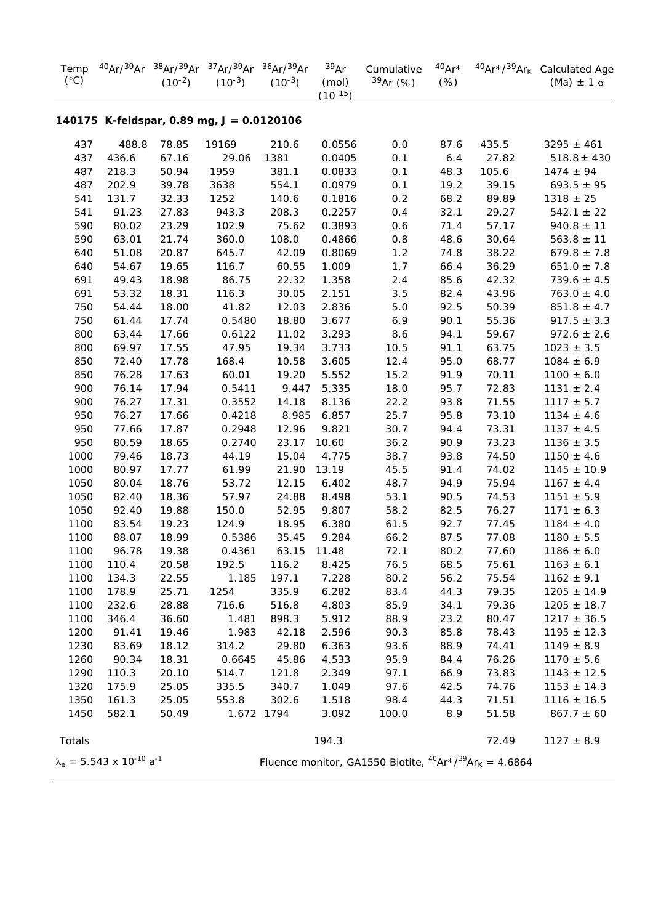| $(^{\circ}C)$ |                                            | $(10^{-2})$ | Temp 40Ar/39Ar 38Ar/39Ar 37Ar/39Ar 36Ar/39Ar<br>$(10^{-3})$ | $(10^{-3})$ | 39Ar<br>(mol)<br>$(10^{-15})$ | Cumulative<br>$39Ar$ (%)                                       | $(\%)$ |       | 40Ar* 40Ar*/39Ar <sub>k</sub> Calculated Age<br>$(Ma) \pm 1 \sigma$ |
|---------------|--------------------------------------------|-------------|-------------------------------------------------------------|-------------|-------------------------------|----------------------------------------------------------------|--------|-------|---------------------------------------------------------------------|
|               |                                            |             | 140175 K-feldspar, 0.89 mg, J = 0.0120106                   |             |                               |                                                                |        |       |                                                                     |
| 437           | 488.8                                      | 78.85       | 19169                                                       | 210.6       | 0.0556                        | 0.0                                                            | 87.6   | 435.5 | $3295 \pm 461$                                                      |
| 437           | 436.6                                      | 67.16       | 29.06                                                       | 1381        | 0.0405                        | 0.1                                                            | $6.4$  | 27.82 | $518.8 \pm 430$                                                     |
| 487           | 218.3                                      | 50.94       | 1959                                                        | 381.1       | 0.0833                        | 0.1                                                            | 48.3   | 105.6 | $1474 \pm 94$                                                       |
| 487           | 202.9                                      | 39.78       | 3638                                                        | 554.1       | 0.0979                        | 0.1                                                            | 19.2   | 39.15 | $693.5 \pm 95$                                                      |
| 541           | 131.7                                      | 32.33       | 1252                                                        | 140.6       | 0.1816                        | 0.2                                                            | 68.2   | 89.89 | $1318 \pm 25$                                                       |
| 541           | 91.23                                      | 27.83       | 943.3                                                       | 208.3       | 0.2257                        | 0.4                                                            | 32.1   | 29.27 | $542.1 \pm 22$                                                      |
| 590           | 80.02                                      | 23.29       | 102.9                                                       | 75.62       | 0.3893                        | 0.6                                                            | 71.4   | 57.17 | $940.8 \pm 11$                                                      |
| 590           | 63.01                                      | 21.74       | 360.0                                                       | 108.0       | 0.4866                        | 0.8                                                            | 48.6   | 30.64 | $563.8 \pm 11$                                                      |
| 640           | 51.08                                      | 20.87       | 645.7                                                       | 42.09       | 0.8069                        | 1.2                                                            | 74.8   | 38.22 | $679.8 \pm 7.8$                                                     |
| 640           | 54.67                                      | 19.65       | 116.7                                                       | 60.55       | 1.009                         | 1.7                                                            | 66.4   | 36.29 | $651.0 \pm 7.8$                                                     |
| 691           | 49.43                                      | 18.98       | 86.75                                                       | 22.32       | 1.358                         | 2.4                                                            | 85.6   | 42.32 | $739.6 \pm 4.5$                                                     |
| 691           | 53.32                                      | 18.31       | 116.3                                                       | 30.05       | 2.151                         | 3.5                                                            | 82.4   | 43.96 | $763.0 \pm 4.0$                                                     |
| 750           | 54.44                                      | 18.00       | 41.82                                                       | 12.03       | 2.836                         | $5.0$                                                          | 92.5   | 50.39 | $851.8 \pm 4.7$                                                     |
| 750           | 61.44                                      | 17.74       | 0.5480                                                      | 18.80       | 3.677                         | 6.9                                                            | 90.1   | 55.36 | $917.5 \pm 3.3$                                                     |
| 800           | 63.44                                      | 17.66       | 0.6122                                                      | 11.02       | 3.293                         | 8.6                                                            | 94.1   | 59.67 | $972.6 \pm 2.6$                                                     |
| 800           | 69.97                                      | 17.55       | 47.95                                                       | 19.34       | 3.733                         | 10.5                                                           | 91.1   | 63.75 | $1023 \pm 3.5$                                                      |
| 850           | 72.40                                      | 17.78       | 168.4                                                       | 10.58       | 3.605                         | 12.4                                                           | 95.0   | 68.77 | $1084 \pm 6.9$                                                      |
| 850           | 76.28                                      | 17.63       | 60.01                                                       | 19.20       | 5.552                         | 15.2                                                           | 91.9   | 70.11 | $1100 \pm 6.0$                                                      |
| 900           | 76.14                                      | 17.94       | 0.5411                                                      | 9.447       | 5.335                         | 18.0                                                           | 95.7   | 72.83 | $1131 \pm 2.4$                                                      |
| 900           | 76.27                                      | 17.31       | 0.3552                                                      | 14.18       | 8.136                         | 22.2                                                           | 93.8   | 71.55 | $1117 \pm 5.7$                                                      |
| 950           | 76.27                                      | 17.66       | 0.4218                                                      | 8.985       | 6.857                         | 25.7                                                           | 95.8   | 73.10 | $1134 \pm 4.6$                                                      |
| 950           | 77.66                                      | 17.87       | 0.2948                                                      | 12.96       | 9.821                         | 30.7                                                           | 94.4   | 73.31 | $1137 \pm 4.5$                                                      |
| 950           | 80.59                                      | 18.65       | 0.2740                                                      | 23.17       | 10.60                         | 36.2                                                           | 90.9   | 73.23 | $1136 \pm 3.5$                                                      |
| 1000          | 79.46                                      | 18.73       | 44.19                                                       | 15.04       | 4.775                         | 38.7                                                           | 93.8   | 74.50 | $1150 \pm 4.6$                                                      |
| 1000          | 80.97                                      | 17.77       | 61.99                                                       | 21.90       | 13.19                         | 45.5                                                           | 91.4   | 74.02 | $1145 \pm 10.9$                                                     |
| 1050          | 80.04                                      | 18.76       | 53.72                                                       | 12.15       | 6.402                         | 48.7                                                           | 94.9   | 75.94 | $1167 \pm 4.4$                                                      |
| 1050          | 82.40                                      | 18.36       | 57.97                                                       | 24.88       | 8.498                         | 53.1                                                           | 90.5   | 74.53 | $1151 \pm 5.9$                                                      |
| 1050          | 92.40                                      | 19.88       | 150.0                                                       | 52.95       | 9.807                         | 58.2                                                           | 82.5   | 76.27 | $1171 \pm 6.3$                                                      |
| 1100          | 83.54                                      | 19.23       | 124.9                                                       | 18.95       | 6.380                         | 61.5                                                           | 92.7   | 77.45 | $1184 \pm 4.0$                                                      |
| 1100          | 88.07                                      | 18.99       | 0.5386                                                      | 35.45       | 9.284                         | 66.2                                                           | 87.5   | 77.08 | $1180 \pm 5.5$                                                      |
| 1100          | 96.78                                      | 19.38       | 0.4361                                                      | 63.15 11.48 |                               | 72.1                                                           | 80.2   | 77.60 | $1186 \pm 6.0$                                                      |
| 1100          | 110.4                                      | 20.58       | 192.5                                                       | 116.2       | 8.425                         | 76.5                                                           | 68.5   | 75.61 | $1163 \pm 6.1$                                                      |
| 1100          | 134.3                                      | 22.55       | 1.185                                                       | 197.1       | 7.228                         | 80.2                                                           | 56.2   | 75.54 | $1162 \pm 9.1$                                                      |
| 1100          | 178.9                                      | 25.71       | 1254                                                        | 335.9       | 6.282                         | 83.4                                                           | 44.3   | 79.35 | $1205 \pm 14.9$                                                     |
| 1100          | 232.6                                      | 28.88       | 716.6                                                       | 516.8       | 4.803                         | 85.9                                                           | 34.1   | 79.36 | $1205 \pm 18.7$                                                     |
| 1100          | 346.4                                      | 36.60       | 1.481                                                       | 898.3       | 5.912                         | 88.9                                                           | 23.2   | 80.47 | $1217 \pm 36.5$                                                     |
| 1200          | 91.41                                      | 19.46       | 1.983                                                       | 42.18       | 2.596                         | 90.3                                                           | 85.8   | 78.43 | $1195 \pm 12.3$                                                     |
| 1230          | 83.69                                      | 18.12       | 314.2                                                       | 29.80       | 6.363                         | 93.6                                                           | 88.9   | 74.41 | $1149 \pm 8.9$                                                      |
| 1260          | 90.34                                      | 18.31       | 0.6645                                                      | 45.86       | 4.533                         | 95.9                                                           | 84.4   | 76.26 | $1170 \pm 5.6$                                                      |
| 1290          | 110.3                                      | 20.10       | 514.7                                                       | 121.8       | 2.349                         | 97.1                                                           | 66.9   | 73.83 | $1143 \pm 12.5$                                                     |
| 1320          | 175.9                                      | 25.05       | 335.5                                                       | 340.7       | 1.049                         | 97.6                                                           | 42.5   | 74.76 | $1153 \pm 14.3$                                                     |
| 1350          | 161.3                                      | 25.05       | 553.8                                                       | 302.6       | 1.518                         | 98.4                                                           | 44.3   | 71.51 | $1116 \pm 16.5$                                                     |
| 1450          | 582.1                                      | 50.49       |                                                             | 1.672 1794  | 3.092                         | 100.0                                                          | 8.9    | 51.58 | $867.7 \pm 60$                                                      |
| Totals        |                                            |             |                                                             |             | 194.3                         |                                                                |        | 72.49 | $1127 \pm 8.9$                                                      |
|               | $\lambda_e = 5.543 \times 10^{-10} a^{-1}$ |             |                                                             |             |                               | Fluence monitor, GA1550 Biotite, $^{40}Ar^{39}Ar_{K} = 4.6864$ |        |       |                                                                     |